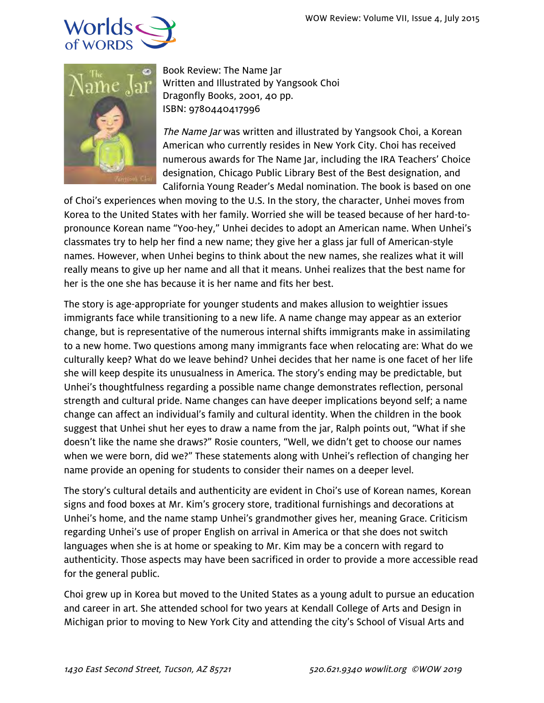



Book Review: The Name Jar Written and Illustrated by Yangsook Choi Dragonfly Books, 2001, 40 pp. ISBN: 9780440417996

The Name Jar was written and illustrated by Yangsook Choi, a Korean American who currently resides in New York City. Choi has received numerous awards for The Name Jar, including the IRA Teachers' Choice designation, Chicago Public Library Best of the Best designation, and California Young Reader's Medal nomination. The book is based on one

of Choi's experiences when moving to the U.S. In the story, the character, Unhei moves from Korea to the United States with her family. Worried she will be teased because of her hard-topronounce Korean name "Yoo-hey," Unhei decides to adopt an American name. When Unhei's classmates try to help her find a new name; they give her a glass jar full of American-style names. However, when Unhei begins to think about the new names, she realizes what it will really means to give up her name and all that it means. Unhei realizes that the best name for her is the one she has because it is her name and fits her best.

The story is age-appropriate for younger students and makes allusion to weightier issues immigrants face while transitioning to a new life. A name change may appear as an exterior change, but is representative of the numerous internal shifts immigrants make in assimilating to a new home. Two questions among many immigrants face when relocating are: What do we culturally keep? What do we leave behind? Unhei decides that her name is one facet of her life she will keep despite its unusualness in America. The story's ending may be predictable, but Unhei's thoughtfulness regarding a possible name change demonstrates reflection, personal strength and cultural pride. Name changes can have deeper implications beyond self; a name change can affect an individual's family and cultural identity. When the children in the book suggest that Unhei shut her eyes to draw a name from the jar, Ralph points out, "What if she doesn't like the name she draws?" Rosie counters, "Well, we didn't get to choose our names when we were born, did we?" These statements along with Unhei's reflection of changing her name provide an opening for students to consider their names on a deeper level.

The story's cultural details and authenticity are evident in Choi's use of Korean names, Korean signs and food boxes at Mr. Kim's grocery store, traditional furnishings and decorations at Unhei's home, and the name stamp Unhei's grandmother gives her, meaning Grace. Criticism regarding Unhei's use of proper English on arrival in America or that she does not switch languages when she is at home or speaking to Mr. Kim may be a concern with regard to authenticity. Those aspects may have been sacrificed in order to provide a more accessible read for the general public.

Choi grew up in Korea but moved to the United States as a young adult to pursue an education and career in art. She attended school for two years at Kendall College of Arts and Design in Michigan prior to moving to New York City and attending the city's School of Visual Arts and